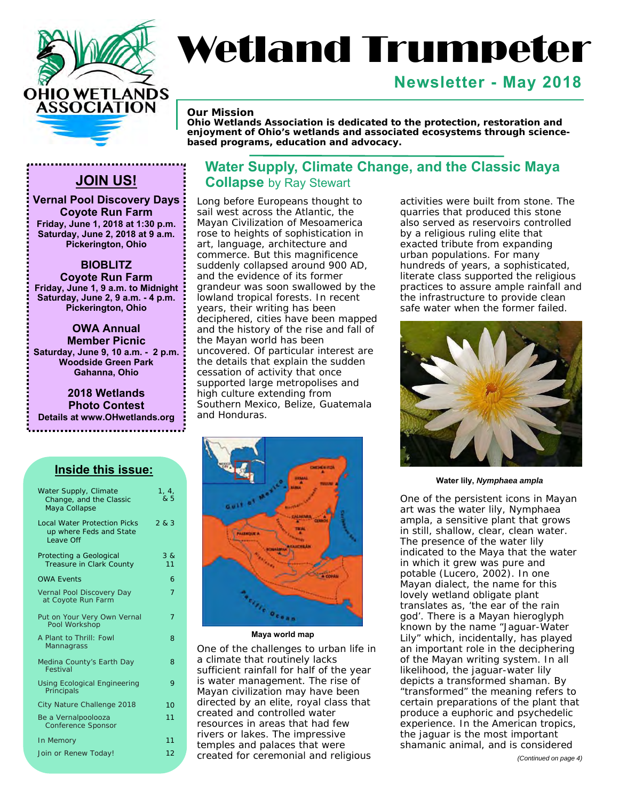

# Wetland Trumpeter

#### **Newsletter - May 2018**

*Our Mission* 

*Ohio Wetlands Association is dedicated to the protection, restoration and enjoyment of Ohio's wetlands and associated ecosystems through sciencebased programs, education and advocacy.* 

**Vernal Pool Discovery Days Coyote Run Farm Friday, June 1, 2018 at 1:30 p.m. Saturday, June 2, 2018 at 9 a.m. Pickerington, Ohio** 

#### **BIOBLITZ**

**Coyote Run Farm Friday, June 1, 9 a.m. to Midnight Saturday, June 2, 9 a.m. - 4 p.m. Pickerington, Ohio** 

**OWA Annual Member Picnic Saturday, June 9, 10 a.m. - 2 p.m. Woodside Green Park Gahanna, Ohio**

**2018 Wetlands Photo Contest Details at [www.OHwetlands.org](http://www.OHwetlands.org)** 

#### **Inside this issue:**

| Water Supply, Climate<br>Change, and the Classic<br>Maya Collapse           | 1, 4,<br>& 5 |
|-----------------------------------------------------------------------------|--------------|
| <b>Local Water Protection Picks</b><br>up where Feds and State<br>Leave Off | 283          |
| Protecting a Geological<br>Treasure in Clark County                         | 38<br>11     |
| <b>OWA Events</b>                                                           | 6            |
| Vernal Pool Discovery Day<br>at Coyote Run Farm                             | 7            |
| Put on Your Very Own Vernal<br>Pool Workshop                                | 7            |
| A Plant to Thrill: Fowl<br>Mannagrass                                       | 8            |
| Medina County's Earth Day<br>Festival                                       | 8            |
| <b>Using Ecological Engineering</b><br>Principals                           | 9            |
| City Nature Challenge 2018                                                  | 10           |
| Be a Vernalpoolooza<br><b>Conference Sponsor</b>                            | 11           |
| In Memory                                                                   | 11           |
| Join or Renew Today!                                                        | 12           |

#### **Water Supply, Climate Change, and the Classic Maya JOIN US!** Collapse by Ray Stewart

Long before Europeans thought to sail west across the Atlantic, the Mayan Civilization of Mesoamerica rose to heights of sophistication in art, language, architecture and commerce. But this magnificence suddenly collapsed around 900 AD, and the evidence of its former grandeur was soon swallowed by the lowland tropical forests. In recent years, their writing has been deciphered, cities have been mapped and the history of the rise and fall of the Mayan world has been uncovered. Of particular interest are the details that explain the sudden cessation of activity that once supported large metropolises and high culture extending from Southern Mexico, Belize, Guatemala and Honduras.



**Maya world map** 

One of the challenges to urban life in a climate that routinely lacks sufficient rainfall for half of the year is water management. The rise of Mayan civilization may have been directed by an elite, royal class that created and controlled water resources in areas that had few rivers or lakes. The impressive temples and palaces that were created for ceremonial and religious

activities were built from stone. The quarries that produced this stone also served as reservoirs controlled by a religious ruling elite that exacted tribute from expanding urban populations. For many hundreds of years, a sophisticated, literate class supported the religious practices to assure ample rainfall and the infrastructure to provide clean safe water when the former failed.



**Water lily,** *Nymphaea ampla* 

One of the persistent icons in Mayan art was the water lily, *Nymphaea ampla*, a sensitive plant that grows in still, shallow, clear, clean water. The presence of the water lily indicated to the Maya that the water in which it grew was pure and potable (Lucero, 2002). In one Mayan dialect, the name for this lovely wetland obligate plant translates as, 'the ear of the rain god'. There is a Mayan hieroglyph known by the name "Jaguar-Water Lily" which, incidentally, has played an important role in the deciphering of the Mayan writing system. In all likelihood, the jaguar-water lily depicts a transformed shaman. By "transformed" the meaning refers to certain preparations of the plant that produce a euphoric and psychedelic experience. In the American tropics, the jaguar is the most important shamanic animal, and is considered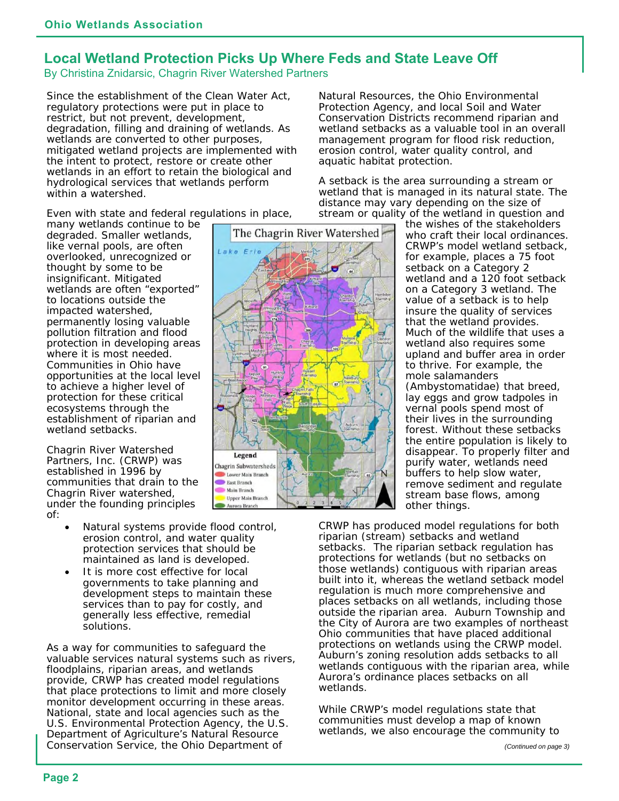#### **Local Wetland Protection Picks Up Where Feds and State Leave Off**

By Christina Znidarsic, Chagrin River Watershed Partners

Since the establishment of the Clean Water Act, regulatory protections were put in place to restrict, but not prevent, development, degradation, filling and draining of wetlands. As wetlands are converted to other purposes, mitigated wetland projects are implemented with the intent to protect, restore or create other wetlands in an effort to retain the biological and hydrological services that wetlands perform within a watershed.

Even with state and federal regulations in place,

many wetlands continue to be degraded. Smaller wetlands, like vernal pools, are often overlooked, unrecognized or thought by some to be insignificant. Mitigated wetlands are often "exported" to locations outside the impacted watershed, permanently losing valuable pollution filtration and flood protection in developing areas where it is most needed. Communities in Ohio have opportunities at the local level to achieve a higher level of protection for these critical ecosystems through the establishment of riparian and wetland setbacks.

Chagrin River Watershed Partners, Inc. (CRWP) was established in 1996 by communities that drain to the Chagrin River watershed, under the founding principles of:

- Natural systems provide flood control, erosion control, and water quality protection services that should be maintained as land is developed.
- It is more cost effective for local governments to take planning and development steps to maintain these services than to pay for costly, and generally less effective, remedial solutions.

As a way for communities to safeguard the valuable services natural systems such as rivers, floodplains, riparian areas, and wetlands provide, CRWP has created model regulations that place protections to limit and more closely monitor development occurring in these areas. National, state and local agencies such as the U.S. Environmental Protection Agency, the U.S. Department of Agriculture's Natural Resource Conservation Service, the Ohio Department of

The Chagrin River Watershed  $\overline{u}$ Legend **Chagrin Subwatersheds** Lower Main Branch **East Branch** Main Branch **Upper Main Branch** Aurora Branch

Natural Resources, the Ohio Environmental Protection Agency, and local Soil and Water Conservation Districts recommend riparian and wetland setbacks as a valuable tool in an overall management program for flood risk reduction, erosion control, water quality control, and aquatic habitat protection.

A setback is the area surrounding a stream or wetland that is managed in its natural state. The distance may vary depending on the size of stream or quality of the wetland in question and

the wishes of the stakeholders who craft their local ordinances. CRWP's model wetland setback, for example, places a 75 foot setback on a Category 2 wetland and a 120 foot setback on a Category 3 wetland. The value of a setback is to help insure the quality of services that the wetland provides. Much of the wildlife that uses a wetland also requires some upland and buffer area in order to thrive. For example, the mole salamanders (Ambystomatidae) that breed, lay eggs and grow tadpoles in vernal pools spend most of their lives in the surrounding forest. Without these setbacks the entire population is likely to disappear. To properly filter and purify water, wetlands need buffers to help slow water, remove sediment and regulate stream base flows, among other things.

CRWP has produced model regulations for both riparian (stream) setbacks and wetland setbacks. The riparian setback regulation has protections for wetlands (but no setbacks on those wetlands) contiguous with riparian areas built into it, whereas the wetland setback model regulation is much more comprehensive and places setbacks on all wetlands, including those outside the riparian area. Auburn Township and the City of Aurora are two examples of northeast Ohio communities that have placed additional protections on wetlands using the CRWP model. Auburn's zoning resolution adds setbacks to all wetlands contiguous with the riparian area, while Aurora's ordinance places setbacks on all wetlands.

While CRWP's model regulations state that communities must develop a map of known wetlands, we also encourage the community to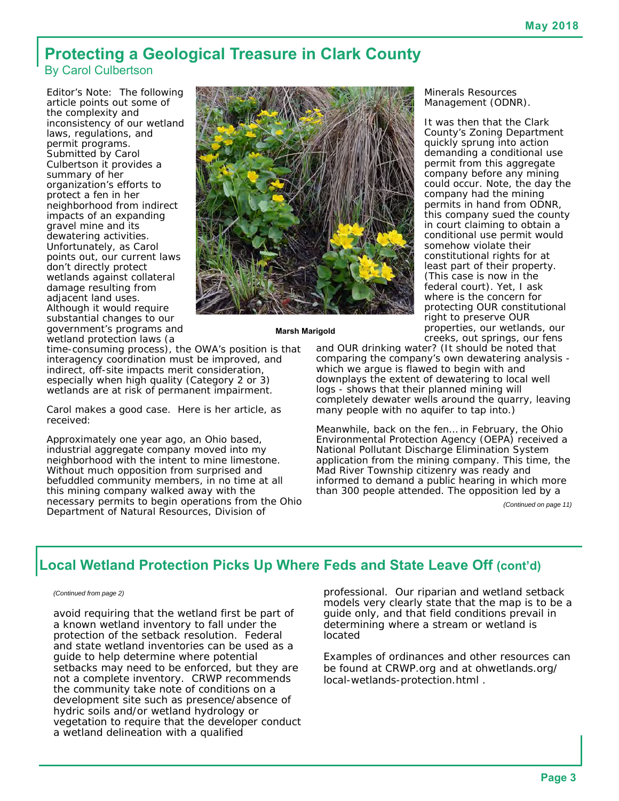# **Protecting a Geological Treasure in Clark County**

By Carol Culbertson

Editor's Note: The following article points out some of the complexity and inconsistency of our wetland laws, regulations, and permit programs. Submitted by Carol Culbertson it provides a summary of her organization's efforts to protect a fen in her neighborhood from indirect impacts of an expanding gravel mine and its dewatering activities. Unfortunately, as Carol points out, our current laws don't directly protect wetlands against collateral damage resulting from adjacent land uses. Although it would require substantial changes to our government's programs and wetland protection laws (a



#### **Marsh Marigold**

time-consuming process), the OWA's position is that interagency coordination must be improved, and indirect, off-site impacts merit consideration, especially when high quality (Category 2 or 3) wetlands are at risk of permanent impairment.

Carol makes a good case. Here is her article, as received:

Approximately one year ago, an Ohio based, industrial aggregate company moved into my neighborhood with the intent to mine limestone. Without much opposition from surprised and befuddled community members, in no time at all this mining company walked away with the necessary permits to begin operations from the Ohio Department of Natural Resources, Division of

Minerals Resources Management (ODNR).

It was then that the Clark County's Zoning Department quickly sprung into action demanding a conditional use permit from this aggregate company before any mining could occur. Note, the day the company had the mining permits in hand from ODNR, this company sued the county in court claiming to obtain a conditional use permit would somehow violate their constitutional rights for at least part of their property. (This case is now in the federal court). Yet, I ask where is the concern for protecting OUR constitutional right to preserve OUR properties, our wetlands, our creeks, out springs, our fens

and OUR drinking water? (It should be noted that comparing the company's own dewatering analysis which we argue is flawed to begin with and downplays the extent of dewatering to local well logs - shows that their planned mining will completely dewater wells around the quarry, leaving many people with no aquifer to tap into.)

Meanwhile, back on the fen… in February, the Ohio Environmental Protection Agency (OEPA) received a National Pollutant Discharge Elimination System application from the mining company. This time, the Mad River Township citizenry was ready and informed to demand a public hearing in which more than 300 people attended. The opposition led by a

*(Continued on page 11)* 

#### **Local Wetland Protection Picks Up Where Feds and State Leave Off (cont'd)**

#### *(Continued from page 2)*

avoid requiring that the wetland first be part of a known wetland inventory to fall under the protection of the setback resolution. Federal and state wetland inventories can be used as a guide to help determine where potential setbacks may need to be enforced, but they are not a complete inventory. CRWP recommends the community take note of conditions on a development site such as presence/absence of hydric soils and/or wetland hydrology or vegetation to require that the developer conduct a wetland delineation with a qualified

professional. Our riparian and wetland setback models very clearly state that the map is to be a guide only, and that field conditions prevail in determining where a stream or wetland is located

Examples of ordinances and other resources can be found at CRWP.org and at ohwetlands.org/ local-wetlands-protection.html .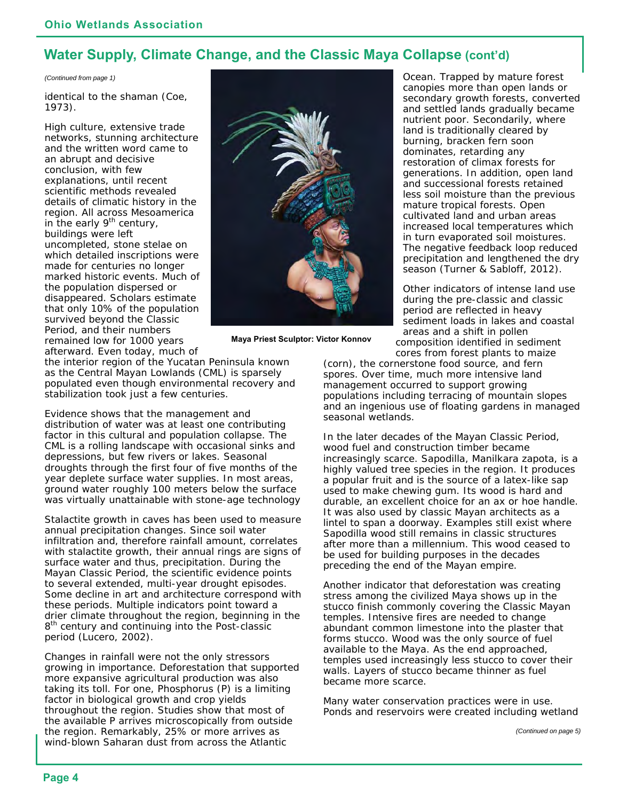#### **Water Supply, Climate Change, and the Classic Maya Collapse (cont'd)**

*(Continued from page 1)* 

identical to the shaman (Coe, 1973).

High culture, extensive trade networks, stunning architecture and the written word came to an abrupt and decisive conclusion, with few explanations, until recent scientific methods revealed details of climatic history in the region. All across Mesoamerica in the early  $9<sup>th</sup>$  century, buildings were left uncompleted, stone stelae on which detailed inscriptions were made for centuries no longer marked historic events. Much of the population dispersed or disappeared. Scholars estimate that only 10% of the population survived beyond the Classic Period, and their numbers remained low for 1000 years afterward. Even today, much of



**Maya Priest Sculptor: Victor Konnov** 

Ocean. Trapped by mature forest canopies more than open lands or secondary growth forests, converted and settled lands gradually became nutrient poor. Secondarily, where land is traditionally cleared by burning, bracken fern soon dominates, retarding any restoration of climax forests for generations. In addition, open land and successional forests retained less soil moisture than the previous mature tropical forests. Open cultivated land and urban areas increased local temperatures which in turn evaporated soil moistures. The negative feedback loop reduced precipitation and lengthened the dry season (Turner & Sabloff, 2012).

Other indicators of intense land use during the pre-classic and classic period are reflected in heavy sediment loads in lakes and coastal areas and a shift in pollen composition identified in sediment

the interior region of the Yucatan Peninsula known as the Central Mayan Lowlands (CML) is sparsely populated even though environmental recovery and stabilization took just a few centuries.

Evidence shows that the management and distribution of water was at least one contributing factor in this cultural and population collapse. The CML is a rolling landscape with occasional sinks and depressions, but few rivers or lakes. Seasonal droughts through the first four of five months of the year deplete surface water supplies. In most areas, ground water roughly 100 meters below the surface was virtually unattainable with stone-age technology

Stalactite growth in caves has been used to measure annual precipitation changes. Since soil water infiltration and, therefore rainfall amount, correlates with stalactite growth, their annual rings are signs of surface water and thus, precipitation. During the Mayan Classic Period, the scientific evidence points to several extended, multi-year drought episodes. Some decline in art and architecture correspond with these periods. Multiple indicators point toward a drier climate throughout the region, beginning in the 8<sup>th</sup> century and continuing into the Post-classic period (Lucero, 2002).

Changes in rainfall were not the only stressors growing in importance. Deforestation that supported more expansive agricultural production was also taking its toll. For one, Phosphorus (P) is a limiting factor in biological growth and crop yields throughout the region. Studies show that most of the available P arrives microscopically from outside the region. Remarkably, 25% or more arrives as wind-blown Saharan dust from across the Atlantic

cores from forest plants to maize (corn), the cornerstone food source, and fern spores. Over time, much more intensive land management occurred to support growing populations including terracing of mountain slopes and an ingenious use of floating gardens in managed seasonal wetlands.

In the later decades of the Mayan Classic Period, wood fuel and construction timber became increasingly scarce. Sapodilla, *Manilkara zapota,* is a highly valued tree species in the region. It produces a popular fruit and is the source of a latex-like sap used to make chewing gum. Its wood is hard and durable, an excellent choice for an ax or hoe handle. It was also used by classic Mayan architects as a lintel to span a doorway. Examples still exist where Sapodilla wood still remains in classic structures after more than a millennium. This wood ceased to be used for building purposes in the decades preceding the end of the Mayan empire.

Another indicator that deforestation was creating stress among the civilized Maya shows up in the stucco finish commonly covering the Classic Mayan temples. Intensive fires are needed to change abundant common limestone into the plaster that forms stucco. Wood was the only source of fuel available to the Maya. As the end approached, temples used increasingly less stucco to cover their walls. Layers of stucco became thinner as fuel became more scarce.

Many water conservation practices were in use. Ponds and reservoirs were created including wetland

*(Continued on page 5)*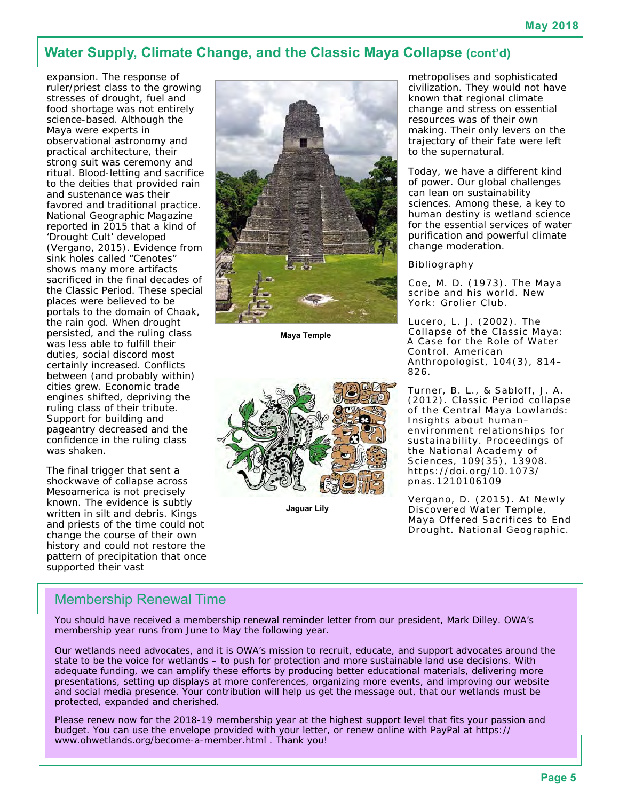#### **Water Supply, Climate Change, and the Classic Maya Collapse (cont'd)**

expansion. The response of ruler/priest class to the growing stresses of drought, fuel and food shortage was not entirely science-based. Although the Maya were experts in observational astronomy and practical architecture, their strong suit was ceremony and ritual. Blood-letting and sacrifice to the deities that provided rain and sustenance was their favored and traditional practice. National Geographic Magazine reported in 2015 that a kind of 'Drought Cult' developed (Vergano, 2015). Evidence from sink holes called "Cenotes" shows many more artifacts sacrificed in the final decades of the Classic Period. These special places were believed to be portals to the domain of Chaak, the rain god. When drought persisted, and the ruling class was less able to fulfill their duties, social discord most certainly increased. Conflicts between (and probably within) cities grew. Economic trade engines shifted, depriving the ruling class of their tribute. Support for building and pageantry decreased and the confidence in the ruling class was shaken.

The final trigger that sent a shockwave of collapse across Mesoamerica is not precisely known. The evidence is subtly written in silt and debris. Kings and priests of the time could not change the course of their own history and could not restore the pattern of precipitation that once supported their vast



**Maya Temple** 



**Jaguar Lily** 

metropolises and sophisticated civilization. They would not have known that regional climate change and stress on essential resources was of their own making. Their only levers on the trajectory of their fate were left to the supernatural.

Today, we have a different kind of power. Our global challenges can lean on sustainability sciences. Among these, a key to human destiny is wetland science for the essential services of water purification and powerful climate change moderation.

Bibliography

Coe, M. D. (1973). *The Maya scribe and his world*. New York: Grolier Club.

Lucero, L. J. (2002). The Collapse of the Classic Maya: A Case for the Role of Water Control. *American Anthropologist*, *104*(3), 814– 826.

Turner, B. L., & Sabloff, J. A. (2012). Classic Period collapse of the Central Maya Lowlands: Insights about human– environment relationships for sustainability. *Proceedings of the National Academy of Sciences*, *109*(35), 13908. <https://doi.org/10.1073/> pnas.1210106109

Vergano, D. (2015). At Newly Discovered Water Temple, Maya Offered Sacrifices to End Drought. *National Geographic*.

#### Membership Renewal Time

You should have received a membership renewal reminder letter from our president, Mark Dilley. OWA's membership year runs from June to May the following year.

Our wetlands need advocates, and it is OWA's mission to recruit, educate, and support advocates around the state to be the voice for wetlands – to push for protection and more sustainable land use decisions. With adequate funding, we can amplify these efforts by producing better educational materials, delivering more presentations, setting up displays at more conferences, organizing more events, and improving our website and social media presence. Your contribution will help us get the message out, that our wetlands must be protected, expanded and cherished.

Please renew now for the 2018-19 membership year at the highest support level that fits your passion and budget. You can use the envelope provided with your letter, or renew online with PayPal at [https://](https://www.ohwetlands.org/become-a-member.html) [www.ohwetlands.org/become-a-member.html .](https://www.ohwetlands.org/become-a-member.html) Thank you!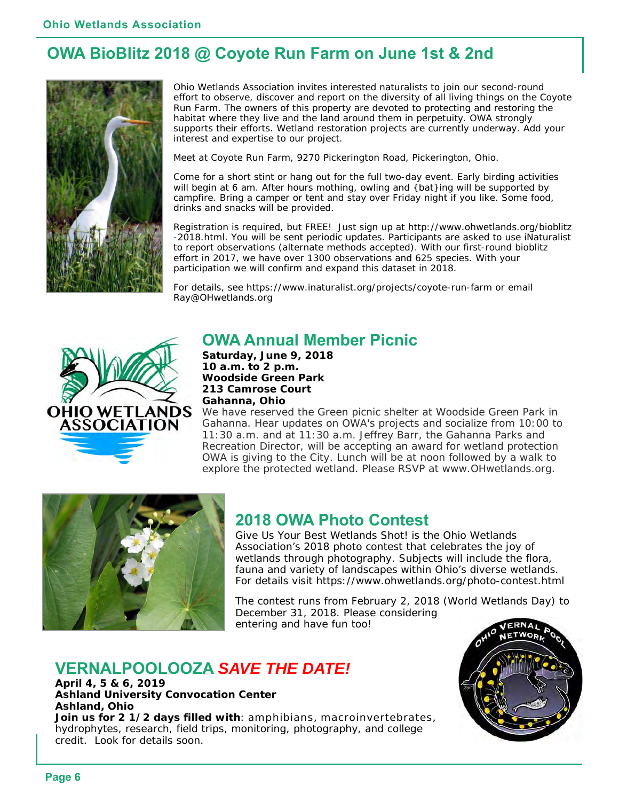### **OWA BioBlitz 2018 @ Coyote Run Farm on June 1st & 2nd**



Ohio Wetlands Association invites interested naturalists to join our second-round effort to observe, discover and report on the diversity of all living things on the Coyote Run Farm. The owners of this property are devoted to protecting and restoring the habitat where they live and the land around them in perpetuity. OWA strongly supports their efforts. Wetland restoration projects are currently underway. Add your interest and expertise to our project.

Meet at Coyote Run Farm, 9270 Pickerington Road, Pickerington, Ohio.

Come for a short stint or hang out for the full two-day event. Early birding activities will begin at 6 am. After hours mothing, owling and {bat}ing will be supported by campfire. Bring a camper or tent and stay over Friday night if you like. Some food, drinks and snacks will be provided.

Registration is required, but FREE! Just sign up at <http://www.ohwetlands.org/bioblitz> -2018.html. You will be sent periodic updates. Participants are asked to use iNaturalist to report observations (alternate methods accepted). With our first-round bioblitz effort in 2017, we have over 1300 observations and 625 species. With your participation we will confirm and expand this dataset in 2018.

For details, see [https://www.inaturalist.org/projects/coyote-run-farm or](https://www.inaturalist.org/projects/coyote-run-farm) email [Ray@OHwetlands.org](mailto:Ray@OHwetlands.org) 



#### **OWA Annual Member Picnic**

**Saturday, June 9, 2018 10 a.m. to 2 p.m. Woodside Green Park 213 Camrose Court Gahanna, Ohio**

We have reserved the Green picnic shelter at Woodside Green Park in Gahanna. Hear updates on OWA's projects and socialize from 10:00 to 11:30 a.m. and at 11:30 a.m. Jeffrey Barr, the Gahanna Parks and Recreation Director, will be accepting an award for wetland protection OWA is giving to the City. Lunch will be at noon followed by a walk to explore the protected wetland. Please RSVP at [www.OHwetlands.org.](http://www.OHwetlands.org) 



#### **2018 OWA Photo Contest**

Give Us Your Best Wetlands Shot! is the Ohio Wetlands Association's 2018 photo contest that celebrates the joy of wetlands through photography. Subjects will include the flora, fauna and variety of landscapes within Ohio's diverse wetlands. For details visit <https://www.ohwetlands.org/photo-contest.html>

The contest runs from February 2, 2018 (World Wetlands Day) to December 31, 2018. Please considering entering and have fun too! **IERNAI** 

### **VERNALPOOLOOZA** *SAVE THE DATE!*

**April 4, 5 & 6, 2019 Ashland University Convocation Center Ashland, Ohio Join us for 2 1/2 days filled with**: amphibians, macroinvertebrates, hydrophytes, research, field trips, monitoring, photography, and college credit. Look for details soon.

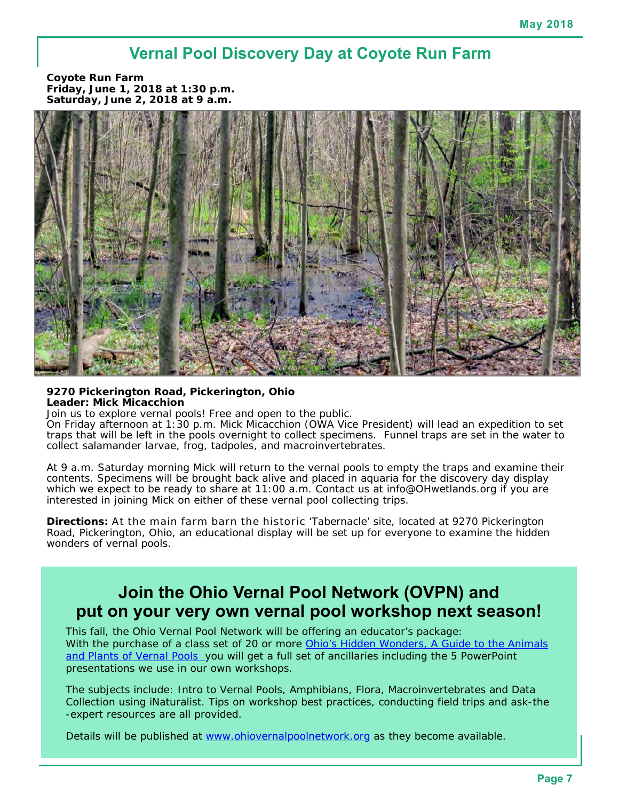### **Vernal Pool Discovery Day at Coyote Run Farm**

**Coyote Run Farm Friday, June 1, 2018 at 1:30 p.m. Saturday, June 2, 2018 at 9 a.m.** 



**9270 Pickerington Road, Pickerington, Ohio Leader: Mick Micacchion** 

Join us to explore vernal pools! Free and open to the public.

On Friday afternoon at 1:30 p.m. Mick Micacchion (OWA Vice President) will lead an expedition to set traps that will be left in the pools overnight to collect specimens. Funnel traps are set in the water to collect salamander larvae, frog, tadpoles, and macroinvertebrates.

At 9 a.m. Saturday morning Mick will return to the vernal pools to empty the traps and examine their contents. Specimens will be brought back alive and placed in aquaria for the discovery day display which we expect to be ready to share at 11:00 a.m. Contact us at [info@OHwetlands.org if](mailto:info@OHwetlands.org) you are interested in joining Mick on either of these vernal pool collecting trips.

**Directions:** At the main farm barn the historic 'Tabernacle' site, located at 9270 Pickerington Road, Pickerington, Ohio, an educational display will be set up for everyone to examine the hidden wonders of vernal pools.

### **Join the Ohio Vernal Pool Network (OVPN) and put on your very own vernal pool workshop next season!**

This fall, the Ohio Vernal Pool Network will be offering an educator's package: With the purchase of a class set of 20 or more *Ohio's Hidden Wonders, A Guide to the Animals and Plants of Vernal Pools* you will get a full set of ancillaries including the 5 PowerPoint presentations we use in our own workshops.

The subjects include: Intro to Vernal Pools, Amphibians, Flora, Macroinvertebrates and Data Collection using iNaturalist. Tips on workshop best practices, conducting field trips and ask-the -expert resources are all provided.

Details will be published at [www.ohiovernalpoolnetwork.org as](http://www.ohiovernalpoolnetwork.org) they become available.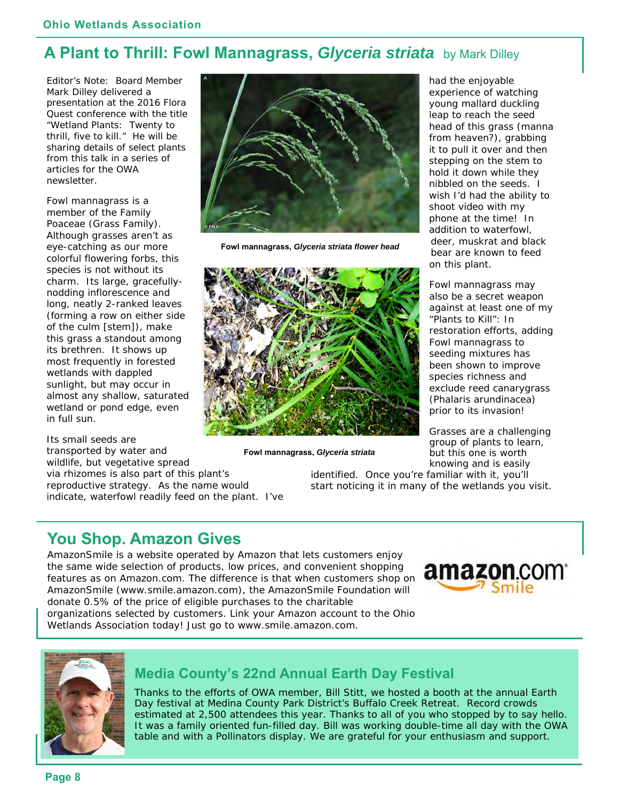### **A Plant to Thrill: Fowl Mannagrass,** *Glyceria striata* by Mark Dilley

Editor's Note: Board Member Mark Dilley delivered a presentation at the 2016 Flora Quest conference with the title "Wetland Plants: Twenty to thrill, five to kill." He will be sharing details of select plants from this talk in a series of articles for the OWA newsletter.

Fowl mannagrass is a member of the Family Poaceae (Grass Family). Although grasses aren't as eye-catching as our more colorful flowering forbs, this species is not without its charm. Its large, gracefullynodding inflorescence and long, neatly 2-ranked leaves (forming a row on either side of the culm [stem]), make this grass a standout among its brethren. It shows up most frequently in forested wetlands with dappled sunlight, but may occur in almost any shallow, saturated wetland or pond edge, even in full sun.

Its small seeds are transported by water and wildlife, but vegetative spread via rhizomes is also part of this plant's reproductive strategy. As the name would indicate, waterfowl readily feed on the plant. I've



**Fowl mannagrass,** *Glyceria striata flower head*



**Fowl mannagrass,** *Glyceria striata*

had the enjoyable experience of watching young mallard duckling leap to reach the seed head of this grass (manna from heaven?), grabbing it to pull it over and then stepping on the stem to hold it down while they nibbled on the seeds. I wish I'd had the ability to shoot video with my phone at the time! In addition to waterfowl, deer, muskrat and black bear are known to feed on this plant.

Fowl mannagrass may also be a secret weapon against at least one of my "Plants to Kill": In restoration efforts, adding Fowl mannagrass to seeding mixtures has been shown to improve species richness and exclude reed canarygrass (*Phalaris arundinacea*) prior to its invasion!

Grasses are a challenging group of plants to learn, but this one is worth knowing and is easily

identified. Once you're familiar with it, you'll start noticing it in many of the wetlands you visit.

### **You Shop. Amazon Gives**

AmazonSmile is a website operated by Amazon that lets customers enjoy the same wide selection of products, low prices, and convenient shopping features as on Amazon.com. The difference is that when customers shop on AmazonSmile [\(www.smile.amazon.com\), th](http://www.smile.amazon.com)e AmazonSmile Foundation will donate 0.5% of the price of eligible purchases to the charitable



organizations selected by customers. Link your Amazon account to the Ohio Wetlands Association today! Just go to [www.smile.amazon.com.](http://www.smile.amazon.com) 



#### **Media County's 22nd Annual Earth Day Festival**

Thanks to the efforts of OWA member, Bill Stitt, we hosted a booth at the annual Earth Day festival at Medina County Park District's Buffalo Creek Retreat. Record crowds estimated at 2,500 attendees this year. Thanks to all of you who stopped by to say hello. It was a family oriented fun-filled day. Bill was working double-time all day with the OWA table and with a Pollinators display. We are grateful for your enthusiasm and support.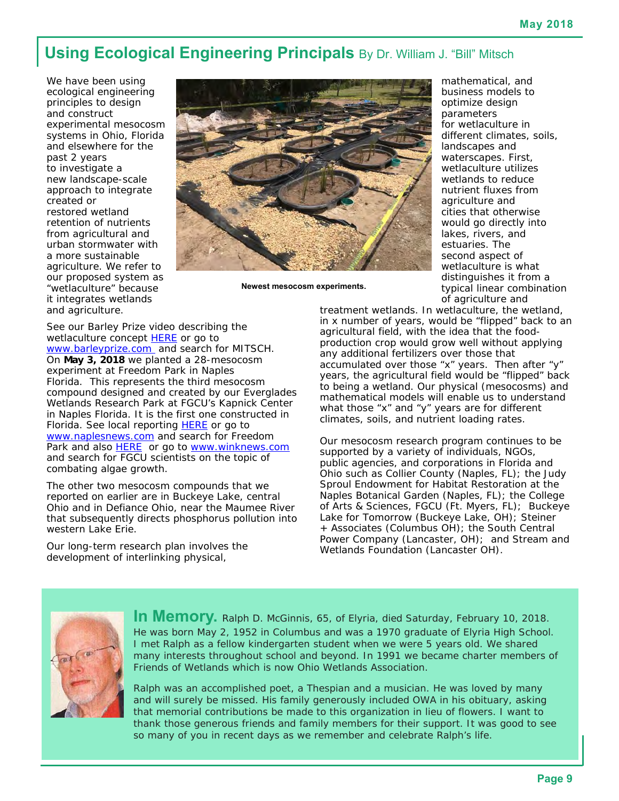### **Using Ecological Engineering Principals** By Dr. William J. "Bill" Mitsch

We have been using ecological engineering principles to design and construct experimental mesocosm systems in Ohio, Florida and elsewhere for the past 2 years to investigate a new landscape-scale approach to integrate created or restored wetland retention of nutrients from agricultural and urban stormwater with a more sustainable agriculture. We refer to our proposed system as "wetlaculture" because it integrates wetlands and agriculture.



**Newest mesocosm experiments.** 

mathematical, and business models to optimize design parameters for wetlaculture in different climates, soils, landscapes and waterscapes. First, wetlaculture utilizes wetlands to reduce nutrient fluxes from agriculture and cities that otherwise would go directly into lakes, rivers, and estuaries. The second aspect of wetlaculture is what distinguishes it from a typical linear combination of agriculture and

See our Barley Prize video describing the wetlaculture concept **HERE** or go to [www.barleyprize.com a](http://www.barleyprize.com)nd search for MITSCH. On **May 3, 2018** we planted a 28-mesocosm experiment at Freedom Park in Naples Florida. This represents the third mesocosm compound designed and created by our Everglades Wetlands Research Park at FGCU's Kapnick Center in Naples Florida. It is the first one constructed in Florida. See local reporting **HERE** or go to [www.naplesnews.com an](http://www.naplesnews.com)d search for Freedom Park and also HERE or go to [www.winknews.com](http://www.winknews.com) and search for FGCU scientists on the topic of combating algae growth.

The other two mesocosm compounds that we reported on earlier are in Buckeye Lake, central Ohio and in Defiance Ohio, near the Maumee River that subsequently directs phosphorus pollution into western Lake Erie.

Our long-term research plan involves the development of interlinking physical,

treatment wetlands. In wetlaculture, the wetland, in x number of years, would be "flipped" back to an agricultural field, with the idea that the foodproduction crop would grow well without applying any additional fertilizers over those that accumulated over those "x" years. Then after "y" years, the agricultural field would be "flipped" back to being a wetland. Our physical (mesocosms) and mathematical models will enable us to understand what those "x" and "y" years are for different climates, soils, and nutrient loading rates.

Our mesocosm research program continues to be supported by a variety of individuals, NGOs, public agencies, and corporations in Florida and Ohio such as Collier County (Naples, FL); the Judy Sproul Endowment for Habitat Restoration at the Naples Botanical Garden (Naples, FL); the College of Arts & Sciences, FGCU (Ft. Myers, FL); Buckeye Lake for Tomorrow (Buckeye Lake, OH); Steiner + Associates (Columbus OH); the South Central Power Company (Lancaster, OH); and Stream and Wetlands Foundation (Lancaster OH).



**In Memory.** Ralph D. McGinnis, 65, of Elyria, died Saturday, February 10, 2018. He was born May 2, 1952 in Columbus and was a 1970 graduate of Elyria High School. I met Ralph as a fellow kindergarten student when we were 5 years old. We shared many interests throughout school and beyond. In 1991 we became charter members of Friends of Wetlands which is now Ohio Wetlands Association.

Ralph was an accomplished poet, a Thespian and a musician. He was loved by many and will surely be missed. His family generously included OWA in his obituary, asking that memorial contributions be made to this organization in lieu of flowers. I want to thank those generous friends and family members for their support. It was good to see so many of you in recent days as we remember and celebrate Ralph's life.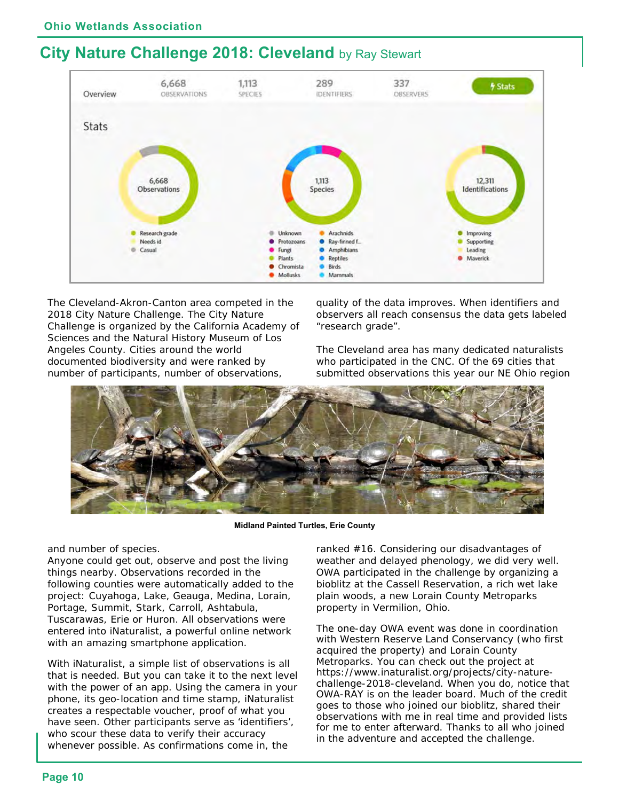### **City Nature Challenge 2018: Cleveland** by Ray Stewart



The Cleveland-Akron-Canton area competed in the 2018 City Nature Challenge. The City Nature Challenge is organized by the California Academy of Sciences and the Natural History Museum of Los Angeles County. Cities around the world documented biodiversity and were ranked by number of participants, number of observations,

quality of the data improves. When identifiers and observers all reach consensus the data gets labeled "research grade".

The Cleveland area has many dedicated naturalists who participated in the CNC. Of the 69 cities that submitted observations this year our NE Ohio region



**Midland Painted Turtles, Erie County** 

#### and number of species.

Anyone could get out, observe and post the living things nearby. Observations recorded in the following counties were automatically added to the project: Cuyahoga, Lake, Geauga, Medina, Lorain, Portage, Summit, Stark, Carroll, Ashtabula, Tuscarawas, Erie or Huron. All observations were entered into iNaturalist, a powerful online network with an amazing smartphone application.

With iNaturalist, a simple list of observations is all that is needed. But you can take it to the next level with the power of an app. Using the camera in your phone, its geo-location and time stamp, iNaturalist creates a respectable voucher, proof of what you have seen. Other participants serve as 'identifiers', who scour these data to verify their accuracy whenever possible. As confirmations come in, the

ranked #16. Considering our disadvantages of weather and delayed phenology, we did very well. OWA participated in the challenge by organizing a bioblitz at the Cassell Reservation, a rich wet lake plain woods, a new Lorain County Metroparks property in Vermilion, Ohio.

The one-day OWA event was done in coordination with Western Reserve Land Conservancy (who first acquired the property) and Lorain County Metroparks. You can check out the project at [https://www.inaturalist.org/projects/city-na](https://www.inaturalist.org/projects/city-nature-challenge-2018-cleveland)ture[challenge-2018-cleveland. When you do, notice tha](https://www.inaturalist.org/projects/city-nature-challenge-2018-cleveland)t OWA-RAY is on the leader board. Much of the credit goes to those who joined our bioblitz, shared their observations with me in real time and provided lists for me to enter afterward. Thanks to all who joined in the adventure and accepted the challenge.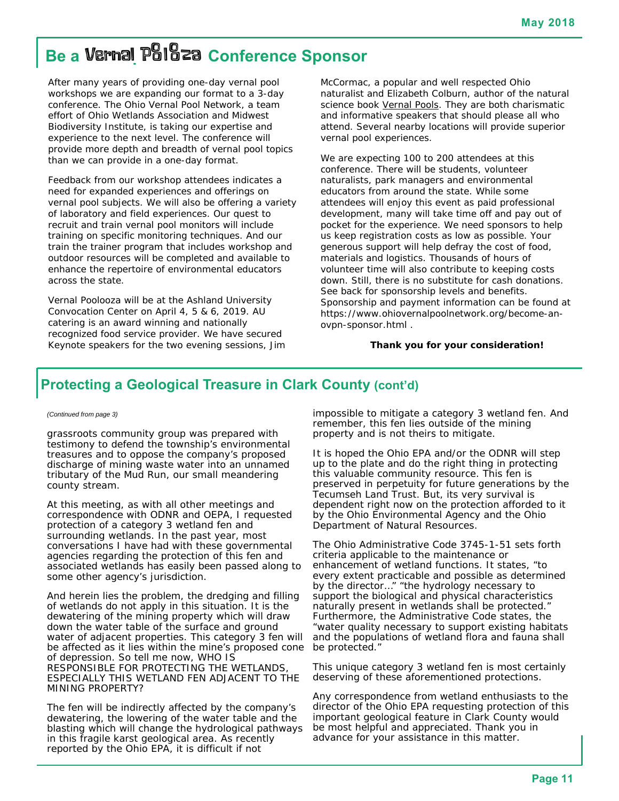## **Be a Vernal Poloza Conference Sponsor**

After many years of providing one-day vernal pool workshops we are expanding our format to a 3-day conference. The Ohio Vernal Pool Network, a team effort of Ohio Wetlands Association and Midwest Biodiversity Institute, is taking our expertise and experience to the next level. The conference will provide more depth and breadth of vernal pool topics than we can provide in a one-day format.

Feedback from our workshop attendees indicates a need for expanded experiences and offerings on vernal pool subjects. We will also be offering a variety of laboratory and field experiences. Our quest to recruit and train vernal pool monitors will include training on specific monitoring techniques. And our train the trainer program that includes workshop and outdoor resources will be completed and available to enhance the repertoire of environmental educators across the state.

Vernal Poolooza will be at the Ashland University Convocation Center on April 4, 5 & 6, 2019. AU catering is an award winning and nationally recognized food service provider. We have secured Keynote speakers for the two evening sessions, Jim McCormac, a popular and well respected Ohio naturalist and Elizabeth Colburn, author of the natural science book Vernal Pools. They are both charismatic and informative speakers that should please all who attend. Several nearby locations will provide superior vernal pool experiences.

We are expecting 100 to 200 attendees at this conference. There will be students, volunteer naturalists, park managers and environmental educators from around the state. While some attendees will enjoy this event as paid professional development, many will take time off and pay out of pocket for the experience. We need sponsors to help us keep registration costs as low as possible. Your generous support will help defray the cost of food, materials and logistics. Thousands of hours of volunteer time will also contribute to keeping costs down. Still, there is no substitute for cash donations. See back for sponsorship levels and benefits. Sponsorship and payment information can be found at [https://www.ohiovernalpoolnetwork.org/become-an](https://www.ohiovernalpoolnetwork.org/become-an-ovpn-sponsor.html)ovpn[-sponsor.html .](https://www.ohiovernalpoolnetwork.org/become-an-ovpn-sponsor.html) 

#### **Thank you for your consideration!**

#### **Protecting a Geological Treasure in Clark County (cont'd)**

#### *(Continued from page 3)*

grassroots community group was prepared with testimony to defend the township's environmental treasures and to oppose the company's proposed discharge of mining waste water into an unnamed tributary of the Mud Run, our small meandering county stream.

At this meeting, as with all other meetings and correspondence with ODNR and OEPA, I requested protection of a category 3 wetland fen and surrounding wetlands. In the past year, most conversations I have had with these governmental agencies regarding the protection of this fen and associated wetlands has easily been passed along to some other agency's jurisdiction.

And herein lies the problem, the dredging and filling of wetlands do not apply in this situation. It is the dewatering of the mining property which will draw down the water table of the surface and ground water of adjacent properties. This category 3 fen will be affected as it lies within the mine's proposed cone of depression. So tell me now, WHO IS RESPONSIBLE FOR PROTECTING THE WETLANDS, ESPECIALLY THIS WETLAND FEN ADJACENT TO THE MINING PROPERTY?

The fen will be indirectly affected by the company's dewatering, the lowering of the water table and the blasting which will change the hydrological pathways in this fragile karst geological area. As recently reported by the Ohio EPA, it is difficult if not

impossible to mitigate a category 3 wetland fen. And remember, this fen lies outside of the mining property and is not theirs to mitigate.

It is hoped the Ohio EPA and/or the ODNR will step up to the plate and do the right thing in protecting this valuable community resource. This fen is preserved in perpetuity for future generations by the Tecumseh Land Trust. But, its very survival is dependent right now on the protection afforded to it by the Ohio Environmental Agency and the Ohio Department of Natural Resources.

The Ohio Administrative Code 3745-1-51 sets forth criteria applicable to the maintenance or enhancement of wetland functions. It states, "to every extent practicable and possible as determined by the director…" "the hydrology necessary to support the biological and physical characteristics naturally present in wetlands shall be protected." Furthermore, the Administrative Code states, the "water quality necessary to support existing habitats and the populations of wetland flora and fauna shall be protected."

This unique category 3 wetland fen is most certainly deserving of these aforementioned protections.

Any correspondence from wetland enthusiasts to the director of the Ohio EPA requesting protection of this important geological feature in Clark County would be most helpful and appreciated. Thank you in advance for your assistance in this matter.